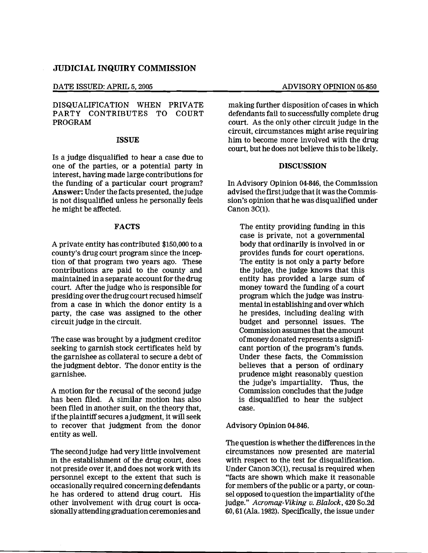#### DATE ISSUED: APRIL 5, 2005 ADVISORY OPINION 05-850

## DISQUALIFICATION WHEN PRIVATE PARTY CONTRIBUTES TO COURT PROGRAM

### ISSUE

Is a judge disqualified to hear a case due to one of the parties, or a potential party in interest, having made large contributions for the funding of a particular court program? Answer: Under the facts presented, the judge is not disqualified unless he personally feels he might be affected.

### FACTS

A private entity has contributed \$150,000 to a county's drug court program since the inception of that program two years ago. These contributions are paid to the county and maintained in a separate account for the drug court. After the judge who is responsible for presiding over the drugcourt recused himself from a case in which the donor entity is a party, the case was assigned to the other circuit judge in the circuit.

The case was brought by a judgment creditor seeking to garnish stock certificates held by the garnishee as collateral to secure a debt of the judgment debtor. The donor entity is the garnishee.

A motion for the recusal of the second judge has been fIled. A similar motion has also been filed in another suit, on the theory that, ifthe plaintiffsecures ajudgment, it will seek to recover that judgment from the donor entity as well.

The secondjudge had very little involvement in the establishment of the drug court, does not preside over it, and does not work with its personnel except to the extent that such is occasionally required concerning defendants he has ordered to attend drug court. His other involvement with drug court is occasionallyattendinggraduation ceremonies and

making further disposition of cases in which defendants fail to successfully complete drug court. As the only other circuit judge in the circuit, circumstances might arise requiring him to become more involved with the drug court, but he does not believe this to be likely.

### DISCUSSION

In Advisory Opinion 04-846, the Commission advised the first judge that it was the Commission's opinion that he was disqualified under Canon 3C(l).

The entity providing funding in this case is private, not a governmental body that ordinarily is involved in or provides funds for court operations. The entity is not only a party before the judge, the judge knows that this entity has provided a large sum of money toward the funding of a court program which the judge was instrumental in establishingand over which he presides, including dealing with budget and personnel issues. The Commission assumes that the amount ofmoney donated represents a signifi· cant portion of the program's funds. Under these facts, the Commission believes that a person of ordinary prudence might reasonably question the judge's impartiality. Thus, the Commission concludes that the judge is disqualified to hear the subject case.

#### Advisory Opinion 04-846.

The question is whether the differences in the circumstances now presented are material with respect to the test for disqualification. Under Canon 3C(l), recusal is required when "facts are shown which make it reasonable for members of the public or a party, or counsel opposed to question the impartiality ofthe judge." Acromag-Viking v. Blalock, 420 So.2d 60,61 (Ala. 1982). Specifically, the issue under